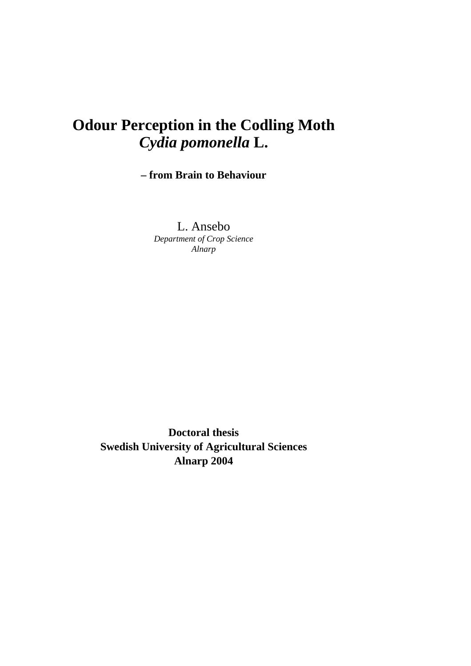# **Odour Perception in the Codling Moth**  *Cydia pomonella* **L.**

# **– from Brain to Behaviour**

L. Ansebo *Department of Crop Science Alnarp* 

**Doctoral thesis Swedish University of Agricultural Sciences Alnarp 2004**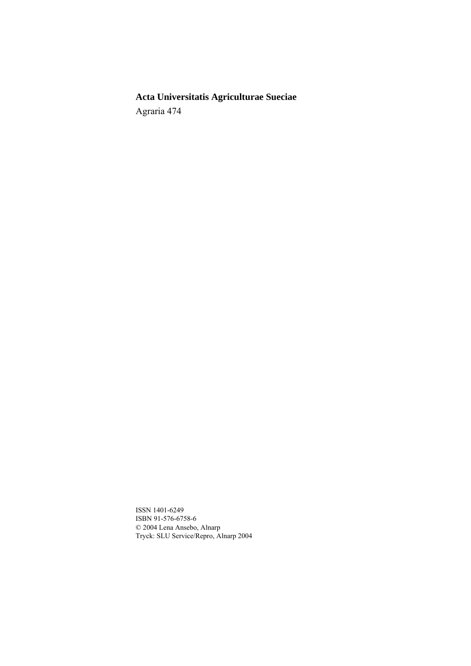**Acta Universitatis Agriculturae Sueciae**  Agraria 474

ISSN 1401-6249 ISBN 91-576-6758-6 © 2004 Lena Ansebo, Alnarp Tryck: SLU Service/Repro, Alnarp 2004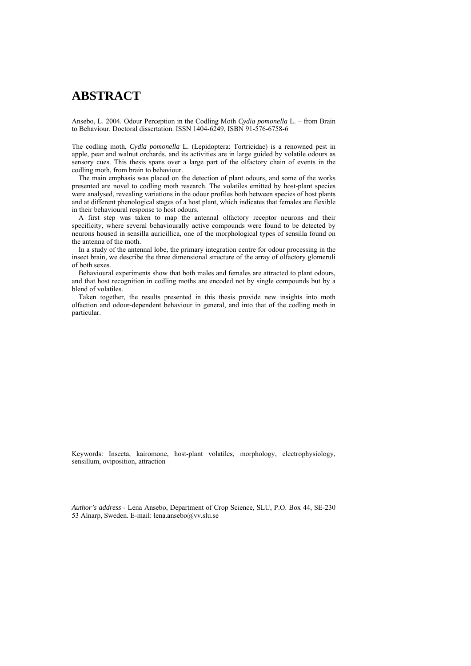# **ABSTRACT**

Ansebo, L. 2004. Odour Perception in the Codling Moth *Cydia pomonella* L. – from Brain to Behaviour. Doctoral dissertation. ISSN 1404-6249, ISBN 91-576-6758-6

The codling moth, *Cydia pomonella* L. (Lepidoptera: Tortricidae) is a renowned pest in apple, pear and walnut orchards, and its activities are in large guided by volatile odours as sensory cues. This thesis spans over a large part of the olfactory chain of events in the codling moth, from brain to behaviour.

The main emphasis was placed on the detection of plant odours, and some of the works presented are novel to codling moth research. The volatiles emitted by host-plant species were analysed, revealing variations in the odour profiles both between species of host plants and at different phenological stages of a host plant, which indicates that females are flexible in their behavioural response to host odours.

A first step was taken to map the antennal olfactory receptor neurons and their specificity, where several behaviourally active compounds were found to be detected by neurons housed in sensilla auricillica, one of the morphological types of sensilla found on the antenna of the moth.

In a study of the antennal lobe, the primary integration centre for odour processing in the insect brain, we describe the three dimensional structure of the array of olfactory glomeruli of both sexes.

Behavioural experiments show that both males and females are attracted to plant odours, and that host recognition in codling moths are encoded not by single compounds but by a blend of volatiles.

Taken together, the results presented in this thesis provide new insights into moth olfaction and odour-dependent behaviour in general, and into that of the codling moth in particular.

Keywords: Insecta, kairomone, host-plant volatiles, morphology, electrophysiology, sensillum, oviposition, attraction

*Author's address* - Lena Ansebo, Department of Crop Science, SLU, P.O. Box 44, SE-230 53 Alnarp, Sweden. E-mail: lena.ansebo@vv.slu.se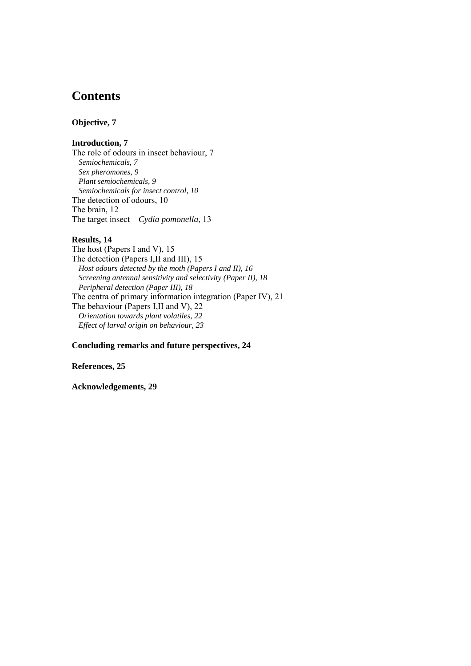# **Contents**

### **Objective, 7**

## **Introduction, 7**

The role of odours in insect behaviour, 7 *Semiochemicals, 7 Sex pheromones, 9 Plant semiochemicals, 9 Semiochemicals for insect control, 10*  The detection of odours, 10 The brain, 12 The target insect – *Cydia pomonella*, 13

## **Results, 14**

The host (Papers I and V), 15 The detection (Papers I,II and III), 15 *Host odours detected by the moth (Papers I and II), 16 Screening antennal sensitivity and selectivity (Paper II), 18 Peripheral detection (Paper III), 18*  The centra of primary information integration (Paper IV), 21 The behaviour (Papers I,II and V), 22 *Orientation towards plant volatiles, 22 Effect of larval origin on behaviour, 23* 

### **Concluding remarks and future perspectives, 24**

#### **References, 25**

### **Acknowledgements, 29**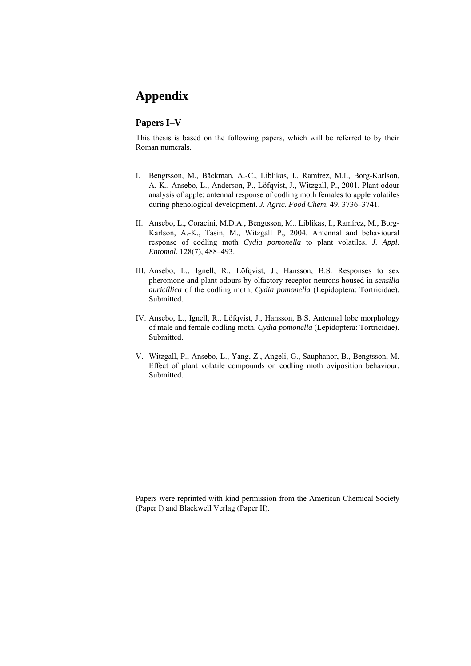# **Appendix**

## **Papers I–V**

This thesis is based on the following papers, which will be referred to by their Roman numerals.

- I. Bengtsson, M., Bäckman, A.-C., Liblikas, I., Ramírez, M.I., Borg-Karlson, A.-K., Ansebo, L., Anderson, P., Löfqvist, J., Witzgall, P., 2001. Plant odour analysis of apple: antennal response of codling moth females to apple volatiles during phenological development. *J. Agric. Food Chem*. 49, 3736–3741.
- II. Ansebo, L., Coracini, M.D.A., Bengtsson, M., Liblikas, I., Ramírez, M., Borg-Karlson, A.-K., Tasin, M., Witzgall P., 2004. Antennal and behavioural response of codling moth *Cydia pomonella* to plant volatiles. *J. Appl. Entomol*. 128(7), 488–493.
- III. Ansebo, L., Ignell, R., Löfqvist, J., Hansson, B.S. Responses to sex pheromone and plant odours by olfactory receptor neurons housed in *sensilla auricillica* of the codling moth, *Cydia pomonella* (Lepidoptera: Tortricidae). Submitted.
- IV. Ansebo, L., Ignell, R., Löfqvist, J., Hansson, B.S. Antennal lobe morphology of male and female codling moth, *Cydia pomonella* (Lepidoptera: Tortricidae). Submitted.
- V. Witzgall, P., Ansebo, L., Yang, Z., Angeli, G., Sauphanor, B., Bengtsson, M. Effect of plant volatile compounds on codling moth oviposition behaviour. Submitted.

Papers were reprinted with kind permission from the American Chemical Society (Paper I) and Blackwell Verlag (Paper II).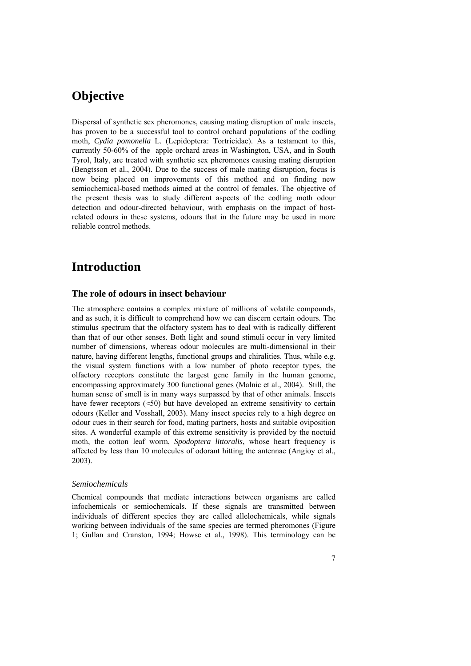# **Objective**

Dispersal of synthetic sex pheromones, causing mating disruption of male insects, has proven to be a successful tool to control orchard populations of the codling moth, *Cydia pomonella* L. (Lepidoptera: Tortricidae). As a testament to this, currently 50-60% of the apple orchard areas in Washington, USA, and in South Tyrol, Italy, are treated with synthetic sex pheromones causing mating disruption (Bengtsson et al., 2004). Due to the success of male mating disruption, focus is now being placed on improvements of this method and on finding new semiochemical-based methods aimed at the control of females. The objective of the present thesis was to study different aspects of the codling moth odour detection and odour-directed behaviour, with emphasis on the impact of hostrelated odours in these systems, odours that in the future may be used in more reliable control methods.

# **Introduction**

### **The role of odours in insect behaviour**

The atmosphere contains a complex mixture of millions of volatile compounds, and as such, it is difficult to comprehend how we can discern certain odours. The stimulus spectrum that the olfactory system has to deal with is radically different than that of our other senses. Both light and sound stimuli occur in very limited number of dimensions, whereas odour molecules are multi-dimensional in their nature, having different lengths, functional groups and chiralities. Thus, while e.g. the visual system functions with a low number of photo receptor types, the olfactory receptors constitute the largest gene family in the human genome, encompassing approximately 300 functional genes (Malnic et al., 2004). Still, the human sense of smell is in many ways surpassed by that of other animals. Insects have fewer receptors ( $\approx$ 50) but have developed an extreme sensitivity to certain odours (Keller and Vosshall, 2003). Many insect species rely to a high degree on odour cues in their search for food, mating partners, hosts and suitable oviposition sites. A wonderful example of this extreme sensitivity is provided by the noctuid moth, the cotton leaf worm, *Spodoptera littoralis*, whose heart frequency is affected by less than 10 molecules of odorant hitting the antennae (Angioy et al., 2003).

#### *Semiochemicals*

Chemical compounds that mediate interactions between organisms are called infochemicals or semiochemicals. If these signals are transmitted between individuals of different species they are called allelochemicals, while signals working between individuals of the same species are termed pheromones (Figure 1; Gullan and Cranston, 1994; Howse et al., 1998). This terminology can be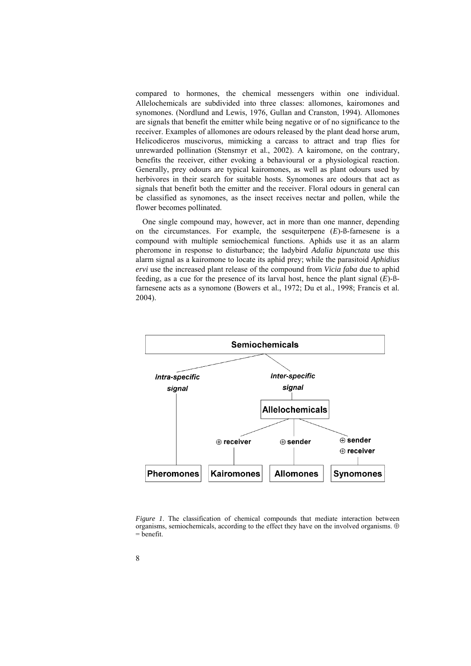compared to hormones, the chemical messengers within one individual. Allelochemicals are subdivided into three classes: allomones, kairomones and synomones. (Nordlund and Lewis, 1976, Gullan and Cranston, 1994). Allomones are signals that benefit the emitter while being negative or of no significance to the receiver. Examples of allomones are odours released by the plant dead horse arum, Helicodiceros muscivorus, mimicking a carcass to attract and trap flies for unrewarded pollination (Stensmyr et al., 2002). A kairomone, on the contrary, benefits the receiver, either evoking a behavioural or a physiological reaction. Generally, prey odours are typical kairomones, as well as plant odours used by herbivores in their search for suitable hosts. Synomones are odours that act as signals that benefit both the emitter and the receiver. Floral odours in general can be classified as synomones, as the insect receives nectar and pollen, while the flower becomes pollinated.

One single compound may, however, act in more than one manner, depending on the circumstances. For example, the sesquiterpene (*E*)-ß-farnesene is a compound with multiple semiochemical functions. Aphids use it as an alarm pheromone in response to disturbance; the ladybird *Adalia bipunctata* use this alarm signal as a kairomone to locate its aphid prey; while the parasitoid *Aphidius ervi* use the increased plant release of the compound from *Vicia faba* due to aphid feeding, as a cue for the presence of its larval host, hence the plant signal (*E*)-ßfarnesene acts as a synomone (Bowers et al., 1972; Du et al., 1998; Francis et al. 2004).



*Figure 1*. The classification of chemical compounds that mediate interaction between organisms, semiochemicals, according to the effect they have on the involved organisms. ⊕ = benefit.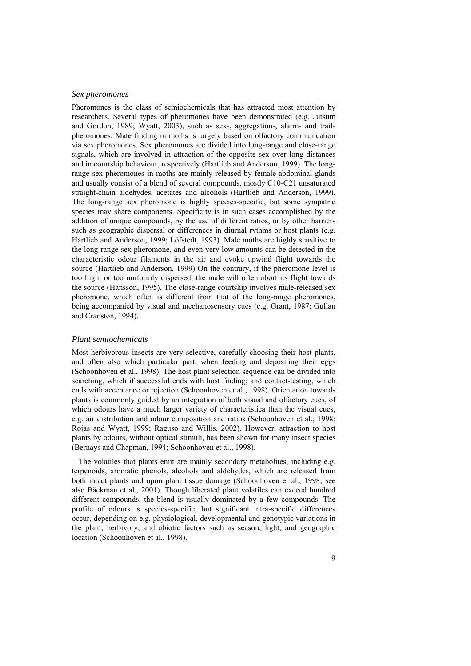#### *Sex pheromones*

Pheromones is the class of semiochemicals that has attracted most attention by researchers. Several types of pheromones have been demonstrated (e.g. Jutsum and Gordon, 1989; Wyatt, 2003), such as sex-, aggregation-, alarm- and trailpheromones. Mate finding in moths is largely based on olfactory communication via sex pheromones. Sex pheromones are divided into long-range and close-range signals, which are involved in attraction of the opposite sex over long distances and in courtship behaviour, respectively (Hartlieb and Anderson, 1999). The longrange sex pheromones in moths are mainly released by female abdominal glands and usually consist of a blend of several compounds, mostly C10-C21 unsaturated straight-chain aldehydes, acetates and alcohols (Hartlieb and Anderson, 1999). The long-range sex pheromone is highly species-specific, but some sympatric species may share components. Specificity is in such cases accomplished by the addition of unique compounds, by the use of different ratios, or by other barriers such as geographic dispersal or differences in diurnal rythms or host plants (e.g. Hartlieb and Anderson, 1999; Löfstedt, 1993). Male moths are highly sensitive to the long-range sex pheromone, and even very low amounts can be detected in the characteristic odour filaments in the air and evoke upwind flight towards the source (Hartlieb and Anderson, 1999) On the contrary, if the pheromone level is too high, or too uniformly dispersed, the male will often abort its flight towards the source (Hansson, 1995). The close-range courtship involves male-released sex pheromone, which often is different from that of the long-range pheromones, being accompanied by visual and mechanosensory cues (e.g. Grant, 1987; Gullan and Cranston, 1994).

#### *Plant semiochemicals*

Most herbivorous insects are very selective, carefully choosing their host plants, and often also which particular part, when feeding and depositing their eggs (Schoonhoven et al., 1998). The host plant selection sequence can be divided into searching, which if successful ends with host finding; and contact-testing, which ends with acceptance or rejection (Schoonhoven et al., 1998). Orientation towards plants is commonly guided by an integration of both visual and olfactory cues, of which odours have a much larger variety of characteristica than the visual cues, e.g. air distribution and odour composition and ratios (Schoonhoven et al., 1998; Rojas and Wyatt, 1999; Raguso and Willis, 2002). However, attraction to host plants by odours, without optical stimuli, has been shown for many insect species (Bernays and Chapman, 1994; Schoonhoven et al., 1998).

The volatiles that plants emit are mainly secondary metabolites, including e.g. terpenoids, aromatic phenols, alcohols and aldehydes, which are released from both intact plants and upon plant tissue damage (Schoonhoven et al., 1998; see also Bäckman et al., 2001). Though liberated plant volatiles can exceed hundred different compounds, the blend is usually dominated by a few compounds. The profile of odours is species-specific, but significant intra-specific differences occur, depending on e.g. physiological, developmental and genotypic variations in the plant, herbivory, and abiotic factors such as season, light, and geographic location (Schoonhoven et al., 1998).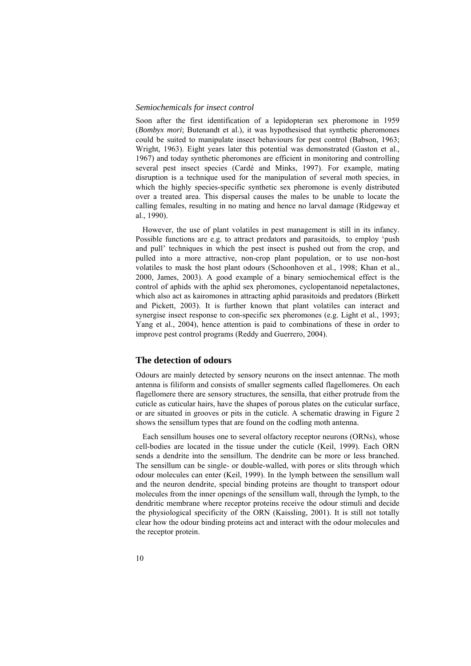#### *Semiochemicals for insect control*

Soon after the first identification of a lepidopteran sex pheromone in 1959 (*Bombyx mori*; Butenandt et al.), it was hypothesised that synthetic pheromones could be suited to manipulate insect behaviours for pest control (Babson, 1963; Wright, 1963). Eight years later this potential was demonstrated (Gaston et al., 1967) and today synthetic pheromones are efficient in monitoring and controlling several pest insect species (Cardé and Minks, 1997). For example, mating disruption is a technique used for the manipulation of several moth species, in which the highly species-specific synthetic sex pheromone is evenly distributed over a treated area. This dispersal causes the males to be unable to locate the calling females, resulting in no mating and hence no larval damage (Ridgeway et al., 1990).

However, the use of plant volatiles in pest management is still in its infancy. Possible functions are e.g. to attract predators and parasitoids, to employ 'push and pull' techniques in which the pest insect is pushed out from the crop, and pulled into a more attractive, non-crop plant population, or to use non-host volatiles to mask the host plant odours (Schoonhoven et al., 1998; Khan et al., 2000, James, 2003). A good example of a binary semiochemical effect is the control of aphids with the aphid sex pheromones, cyclopentanoid nepetalactones, which also act as kairomones in attracting aphid parasitoids and predators (Birkett and Pickett, 2003). It is further known that plant volatiles can interact and synergise insect response to con-specific sex pheromones (e.g. Light et al., 1993; Yang et al., 2004), hence attention is paid to combinations of these in order to improve pest control programs (Reddy and Guerrero, 2004).

### **The detection of odours**

Odours are mainly detected by sensory neurons on the insect antennae. The moth antenna is filiform and consists of smaller segments called flagellomeres. On each flagellomere there are sensory structures, the sensilla, that either protrude from the cuticle as cuticular hairs, have the shapes of porous plates on the cuticular surface, or are situated in grooves or pits in the cuticle. A schematic drawing in Figure 2 shows the sensillum types that are found on the codling moth antenna.

Each sensillum houses one to several olfactory receptor neurons (ORNs), whose cell-bodies are located in the tissue under the cuticle (Keil, 1999). Each ORN sends a dendrite into the sensillum. The dendrite can be more or less branched. The sensillum can be single- or double-walled, with pores or slits through which odour molecules can enter (Keil, 1999). In the lymph between the sensillum wall and the neuron dendrite, special binding proteins are thought to transport odour molecules from the inner openings of the sensillum wall, through the lymph, to the dendritic membrane where receptor proteins receive the odour stimuli and decide the physiological specificity of the ORN (Kaissling, 2001). It is still not totally clear how the odour binding proteins act and interact with the odour molecules and the receptor protein.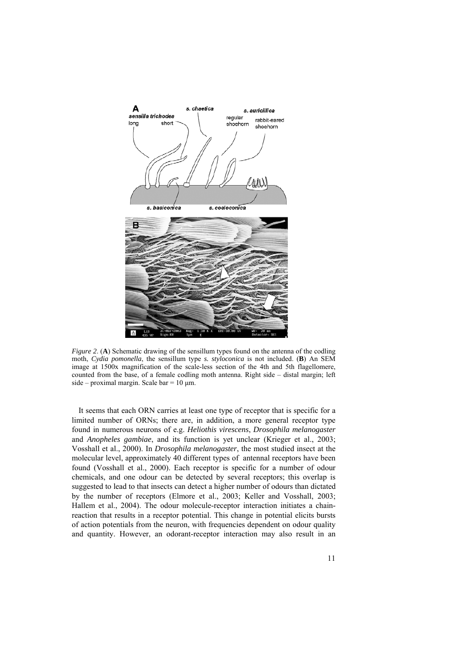

*Figure 2.* (**A**) Schematic drawing of the sensillum types found on the antenna of the codling moth, *Cydia pomonella*, the sensillum type *s. styloconica* is not included. (**B**) An SEM image at 1500x magnification of the scale-less section of the 4th and 5th flagellomere, counted from the base, of a female codling moth antenna. Right side – distal margin; left side – proximal margin. Scale bar =  $10 \mu$ m.

It seems that each ORN carries at least one type of receptor that is specific for a limited number of ORNs; there are, in addition, a more general receptor type found in numerous neurons of e.g. *Heliothis virescens*, *Drosophila melanogaster* and *Anopheles gambiae*, and its function is yet unclear (Krieger et al., 2003; Vosshall et al., 2000). In *Drosophila melanogaster*, the most studied insect at the molecular level, approximately 40 different types of antennal receptors have been found (Vosshall et al., 2000). Each receptor is specific for a number of odour chemicals, and one odour can be detected by several receptors; this overlap is suggested to lead to that insects can detect a higher number of odours than dictated by the number of receptors (Elmore et al., 2003; Keller and Vosshall, 2003; Hallem et al., 2004). The odour molecule-receptor interaction initiates a chainreaction that results in a receptor potential. This change in potential elicits bursts of action potentials from the neuron, with frequencies dependent on odour quality and quantity. However, an odorant-receptor interaction may also result in an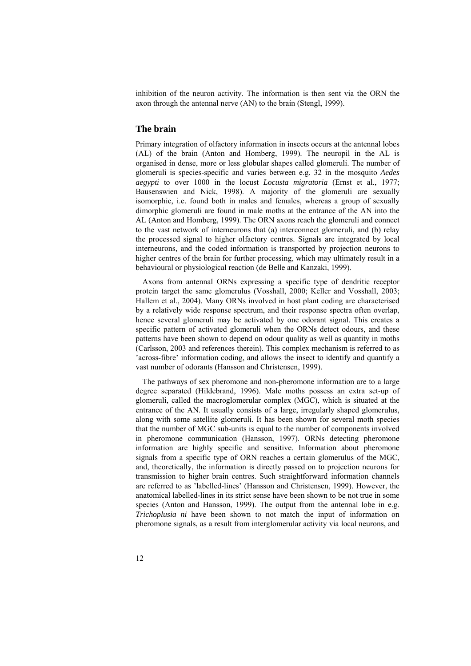inhibition of the neuron activity. The information is then sent via the ORN the axon through the antennal nerve (AN) to the brain (Stengl, 1999).

## **The brain**

Primary integration of olfactory information in insects occurs at the antennal lobes (AL) of the brain (Anton and Homberg, 1999). The neuropil in the AL is organised in dense, more or less globular shapes called glomeruli. The number of glomeruli is species-specific and varies between e.g. 32 in the mosquito *Aedes aegypti* to over 1000 in the locust *Locusta migratoria* (Ernst et al., 1977; Bausenswien and Nick, 1998). A majority of the glomeruli are sexually isomorphic, i.e. found both in males and females, whereas a group of sexually dimorphic glomeruli are found in male moths at the entrance of the AN into the AL (Anton and Homberg, 1999). The ORN axons reach the glomeruli and connect to the vast network of interneurons that (a) interconnect glomeruli, and (b) relay the processed signal to higher olfactory centres. Signals are integrated by local interneurons, and the coded information is transported by projection neurons to higher centres of the brain for further processing, which may ultimately result in a behavioural or physiological reaction (de Belle and Kanzaki, 1999).

Axons from antennal ORNs expressing a specific type of dendritic receptor protein target the same glomerulus (Vosshall, 2000; Keller and Vosshall, 2003; Hallem et al., 2004). Many ORNs involved in host plant coding are characterised by a relatively wide response spectrum, and their response spectra often overlap, hence several glomeruli may be activated by one odorant signal. This creates a specific pattern of activated glomeruli when the ORNs detect odours, and these patterns have been shown to depend on odour quality as well as quantity in moths (Carlsson, 2003 and references therein). This complex mechanism is referred to as 'across-fibre' information coding, and allows the insect to identify and quantify a vast number of odorants (Hansson and Christensen, 1999).

The pathways of sex pheromone and non-pheromone information are to a large degree separated (Hildebrand, 1996). Male moths possess an extra set-up of glomeruli, called the macroglomerular complex (MGC), which is situated at the entrance of the AN. It usually consists of a large, irregularly shaped glomerulus, along with some satellite glomeruli. It has been shown for several moth species that the number of MGC sub-units is equal to the number of components involved in pheromone communication (Hansson, 1997). ORNs detecting pheromone information are highly specific and sensitive. Information about pheromone signals from a specific type of ORN reaches a certain glomerulus of the MGC, and, theoretically, the information is directly passed on to projection neurons for transmission to higher brain centres. Such straightforward information channels are referred to as 'labelled-lines' (Hansson and Christensen, 1999). However, the anatomical labelled-lines in its strict sense have been shown to be not true in some species (Anton and Hansson, 1999). The output from the antennal lobe in e.g. *Trichoplusia ni* have been shown to not match the input of information on pheromone signals, as a result from interglomerular activity via local neurons, and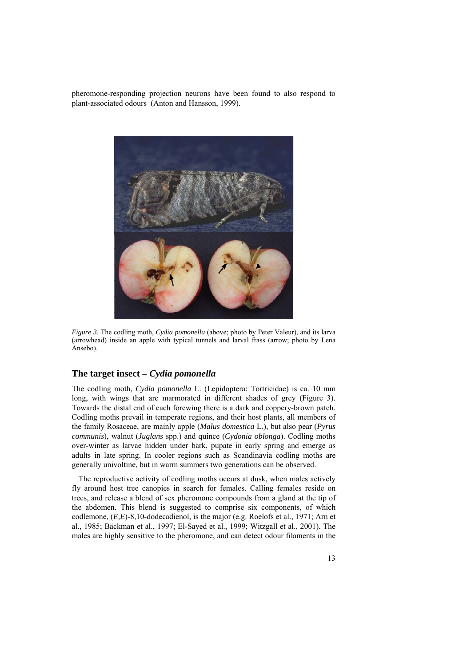pheromone-responding projection neurons have been found to also respond to plant-associated odours (Anton and Hansson, 1999).



*Figure 3*. The codling moth, *Cydia pomonella* (above; photo by Peter Valeur), and its larva (arrowhead) inside an apple with typical tunnels and larval frass (arrow; photo by Lena Ansebo).

### **The target insect –** *Cydia pomonella*

The codling moth, *Cydia pomonella* L. (Lepidoptera: Tortricidae) is ca. 10 mm long, with wings that are marmorated in different shades of grey (Figure 3). Towards the distal end of each forewing there is a dark and coppery-brown patch. Codling moths prevail in temperate regions, and their host plants, all members of the family Rosaceae, are mainly apple (*Malus domestica* L.), but also pear (*Pyrus communis*), walnut (*Juglans* spp.) and quince (*Cydonia oblonga*). Codling moths over-winter as larvae hidden under bark, pupate in early spring and emerge as adults in late spring. In cooler regions such as Scandinavia codling moths are generally univoltine, but in warm summers two generations can be observed.

The reproductive activity of codling moths occurs at dusk, when males actively fly around host tree canopies in search for females. Calling females reside on trees, and release a blend of sex pheromone compounds from a gland at the tip of the abdomen. This blend is suggested to comprise six components, of which codlemone, (*E,E*)-8,10-dodecadienol, is the major (e.g. Roelofs et al., 1971; Arn et al., 1985; Bäckman et al., 1997; El-Sayed et al., 1999; Witzgall et al., 2001). The males are highly sensitive to the pheromone, and can detect odour filaments in the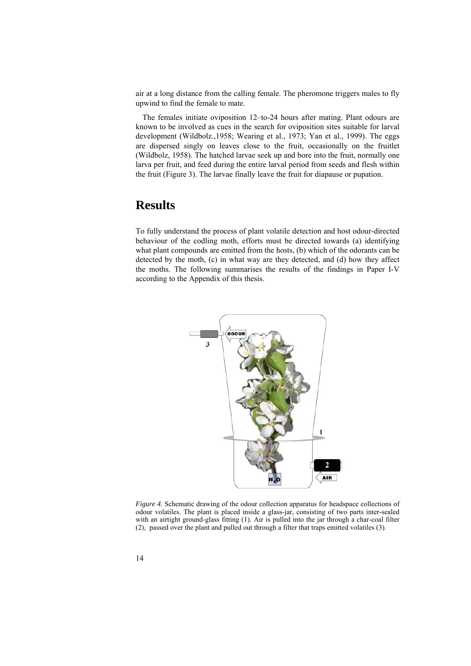air at a long distance from the calling female. The pheromone triggers males to fly upwind to find the female to mate.

The females initiate oviposition 12–to-24 hours after mating. Plant odours are known to be involved as cues in the search for oviposition sites suitable for larval development (Wildbolz.,1958; Wearing et al., 1973; Yan et al., 1999). The eggs are dispersed singly on leaves close to the fruit, occasionally on the fruitlet (Wildbolz, 1958). The hatched larvae seek up and bore into the fruit, normally one larva per fruit, and feed during the entire larval period from seeds and flesh within the fruit (Figure 3). The larvae finally leave the fruit for diapause or pupation.

# **Results**

To fully understand the process of plant volatile detection and host odour-directed behaviour of the codling moth, efforts must be directed towards (a) identifying what plant compounds are emitted from the hosts, (b) which of the odorants can be detected by the moth, (c) in what way are they detected, and (d) how they affect the moths. The following summarises the results of the findings in Paper I-V according to the Appendix of this thesis.



*Figure 4*. Schematic drawing of the odour collection apparatus for headspace collections of odour volatiles. The plant is placed inside a glass-jar, consisting of two parts inter-sealed with an airtight ground-glass fitting (1). Air is pulled into the jar through a char-coal filter (2), passed over the plant and pulled out through a filter that traps emitted volatiles (3).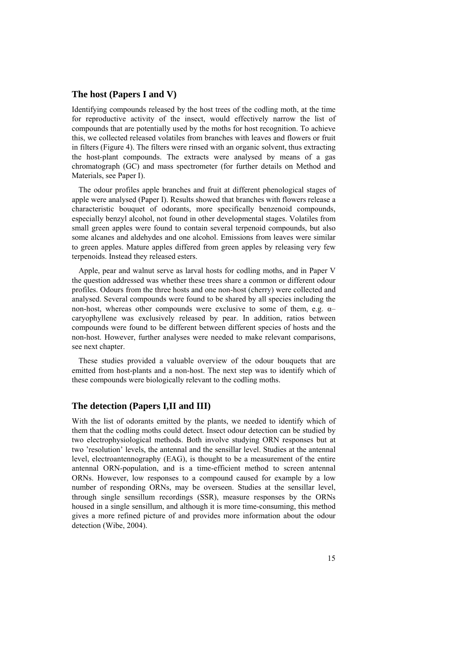### **The host (Papers I and V)**

Identifying compounds released by the host trees of the codling moth, at the time for reproductive activity of the insect, would effectively narrow the list of compounds that are potentially used by the moths for host recognition. To achieve this, we collected released volatiles from branches with leaves and flowers or fruit in filters (Figure 4). The filters were rinsed with an organic solvent, thus extracting the host-plant compounds. The extracts were analysed by means of a gas chromatograph (GC) and mass spectrometer (for further details on Method and Materials, see Paper I).

The odour profiles apple branches and fruit at different phenological stages of apple were analysed (Paper I). Results showed that branches with flowers release a characteristic bouquet of odorants, more specifically benzenoid compounds, especially benzyl alcohol, not found in other developmental stages. Volatiles from small green apples were found to contain several terpenoid compounds, but also some alcanes and aldehydes and one alcohol. Emissions from leaves were similar to green apples. Mature apples differed from green apples by releasing very few terpenoids. Instead they released esters.

Apple, pear and walnut serve as larval hosts for codling moths, and in Paper V the question addressed was whether these trees share a common or different odour profiles. Odours from the three hosts and one non-host (cherry) were collected and analysed. Several compounds were found to be shared by all species including the non-host, whereas other compounds were exclusive to some of them, e.g. α– caryophyllene was exclusively released by pear. In addition, ratios between compounds were found to be different between different species of hosts and the non-host. However, further analyses were needed to make relevant comparisons, see next chapter.

These studies provided a valuable overview of the odour bouquets that are emitted from host-plants and a non-host. The next step was to identify which of these compounds were biologically relevant to the codling moths.

### **The detection (Papers I,II and III)**

With the list of odorants emitted by the plants, we needed to identify which of them that the codling moths could detect. Insect odour detection can be studied by two electrophysiological methods. Both involve studying ORN responses but at two 'resolution' levels, the antennal and the sensillar level. Studies at the antennal level, electroantennography (EAG), is thought to be a measurement of the entire antennal ORN-population, and is a time-efficient method to screen antennal ORNs. However, low responses to a compound caused for example by a low number of responding ORNs, may be overseen. Studies at the sensillar level, through single sensillum recordings (SSR), measure responses by the ORNs housed in a single sensillum, and although it is more time-consuming, this method gives a more refined picture of and provides more information about the odour detection (Wibe, 2004).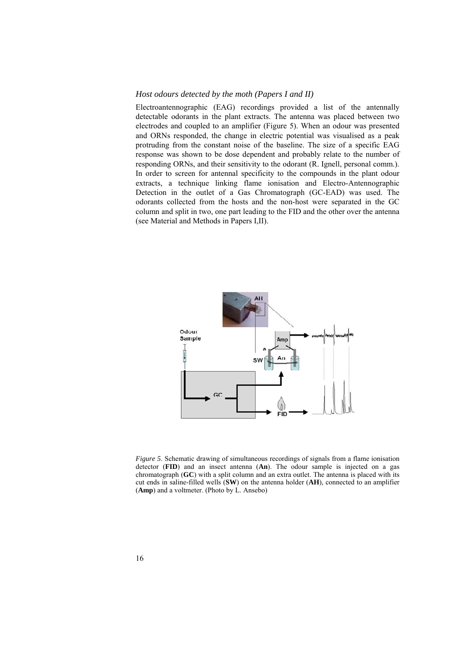#### *Host odours detected by the moth (Papers I and II)*

Electroantennographic (EAG) recordings provided a list of the antennally detectable odorants in the plant extracts. The antenna was placed between two electrodes and coupled to an amplifier (Figure 5). When an odour was presented and ORNs responded, the change in electric potential was visualised as a peak protruding from the constant noise of the baseline. The size of a specific EAG response was shown to be dose dependent and probably relate to the number of responding ORNs, and their sensitivity to the odorant (R. Ignell, personal comm.). In order to screen for antennal specificity to the compounds in the plant odour extracts, a technique linking flame ionisation and Electro-Antennographic Detection in the outlet of a Gas Chromatograph (GC-EAD) was used. The odorants collected from the hosts and the non-host were separated in the GC column and split in two, one part leading to the FID and the other over the antenna (see Material and Methods in Papers I,II).



*Figure 5*. Schematic drawing of simultaneous recordings of signals from a flame ionisation detector (**FID**) and an insect antenna (**An**). The odour sample is injected on a gas chromatograph (**GC**) with a split column and an extra outlet. The antenna is placed with its cut ends in saline-filled wells (**SW**) on the antenna holder (**AH**), connected to an amplifier (**Amp**) and a voltmeter. (Photo by L. Ansebo)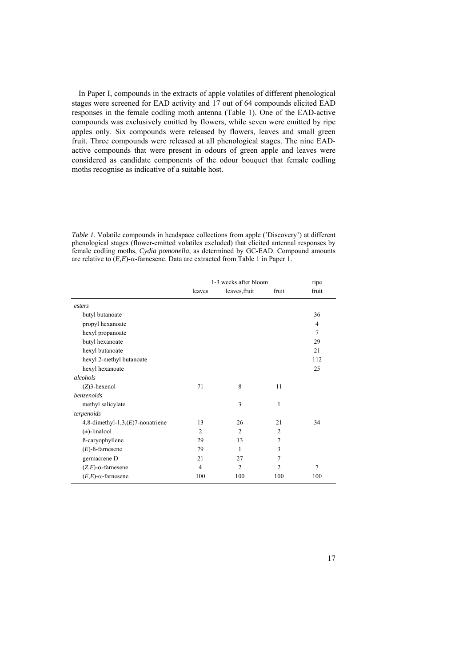In Paper I, compounds in the extracts of apple volatiles of different phenological stages were screened for EAD activity and 17 out of 64 compounds elicited EAD responses in the female codling moth antenna (Table 1). One of the EAD-active compounds was exclusively emitted by flowers, while seven were emitted by ripe apples only. Six compounds were released by flowers, leaves and small green fruit. Three compounds were released at all phenological stages. The nine EADactive compounds that were present in odours of green apple and leaves were considered as candidate components of the odour bouquet that female codling moths recognise as indicative of a suitable host.

*Table 1*. Volatile compounds in headspace collections from apple ('Discovery') at different phenological stages (flower-emitted volatiles excluded) that elicited antennal responses by female codling moths, *Cydia pomonella*, as determined by GC-EAD. Compound amounts are relative to (*E,E*)-α-farnesene. Data are extracted from Table 1 in Paper 1.

|                                      | 1-3 weeks after bloom |                |                | ripe           |
|--------------------------------------|-----------------------|----------------|----------------|----------------|
|                                      | leaves                | leaves, fruit  | fruit          | fruit          |
| esters                               |                       |                |                |                |
| butyl butanoate                      |                       |                |                | 36             |
| propyl hexanoate                     |                       |                |                | $\overline{4}$ |
| hexyl propanoate                     |                       |                |                | 7              |
| butyl hexanoate                      |                       |                |                | 29             |
| hexyl butanoate                      |                       |                |                | 21             |
| hexyl 2-methyl butanoate             |                       |                |                | 112            |
| hexyl hexanoate                      |                       |                |                | 25             |
| alcohols                             |                       |                |                |                |
| $(Z)$ 3-hexenol                      | 71                    | 8              | 11             |                |
| benzenoids                           |                       |                |                |                |
| methyl salicylate                    |                       | 3              | 1              |                |
| terpenoids                           |                       |                |                |                |
| 4,8-dimethyl-1,3, $(E)$ 7-nonatriene | 13                    | 26             | 21             | 34             |
| $(\pm)$ -linalool                    | 2                     | $\overline{2}$ | 2              |                |
| ß-caryophyllene                      | 29                    | 13             | $\tau$         |                |
| $(E)$ -ß-farnesene                   | 79                    | 1              | 3              |                |
| germacrene D                         | 21                    | 27             | 7              |                |
| $(Z,E)$ - $\alpha$ -farnesene        | $\overline{4}$        | $\overline{2}$ | $\overline{2}$ | 7              |
| $(E,E)$ - $\alpha$ -farnesene        | 100                   | 100            | 100            | 100            |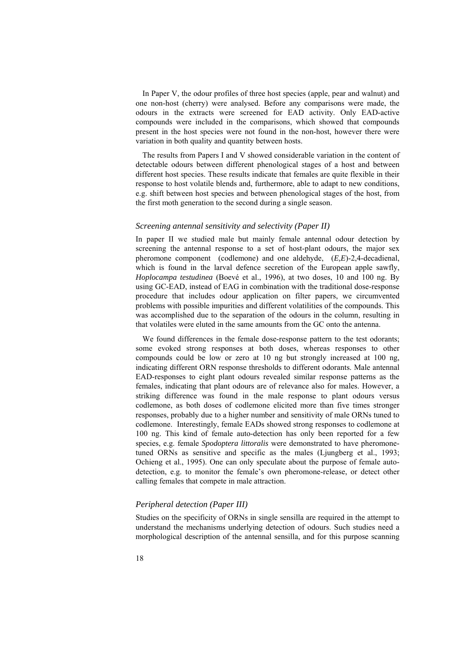In Paper V, the odour profiles of three host species (apple, pear and walnut) and one non-host (cherry) were analysed. Before any comparisons were made, the odours in the extracts were screened for EAD activity. Only EAD-active compounds were included in the comparisons, which showed that compounds present in the host species were not found in the non-host, however there were variation in both quality and quantity between hosts.

The results from Papers I and V showed considerable variation in the content of detectable odours between different phenological stages of a host and between different host species. These results indicate that females are quite flexible in their response to host volatile blends and, furthermore, able to adapt to new conditions, e.g. shift between host species and between phenological stages of the host, from the first moth generation to the second during a single season.

#### *Screening antennal sensitivity and selectivity (Paper II)*

In paper II we studied male but mainly female antennal odour detection by screening the antennal response to a set of host-plant odours, the major sex pheromone component (codlemone) and one aldehyde, (*E,E*)-2,4-decadienal, which is found in the larval defence secretion of the European apple sawfly, *Hoplocampa testudinea* (Boevé et al., 1996), at two doses, 10 and 100 ng. By using GC-EAD, instead of EAG in combination with the traditional dose-response procedure that includes odour application on filter papers, we circumvented problems with possible impurities and different volatilities of the compounds. This was accomplished due to the separation of the odours in the column, resulting in that volatiles were eluted in the same amounts from the GC onto the antenna.

We found differences in the female dose-response pattern to the test odorants; some evoked strong responses at both doses, whereas responses to other compounds could be low or zero at 10 ng but strongly increased at 100 ng, indicating different ORN response thresholds to different odorants. Male antennal EAD-responses to eight plant odours revealed similar response patterns as the females, indicating that plant odours are of relevance also for males. However, a striking difference was found in the male response to plant odours versus codlemone, as both doses of codlemone elicited more than five times stronger responses, probably due to a higher number and sensitivity of male ORNs tuned to codlemone. Interestingly, female EADs showed strong responses to codlemone at 100 ng. This kind of female auto-detection has only been reported for a few species, e.g. female *Spodoptera littoralis* were demonstrated to have pheromonetuned ORNs as sensitive and specific as the males (Ljungberg et al., 1993; Ochieng et al., 1995). One can only speculate about the purpose of female autodetection, e.g. to monitor the female's own pheromone-release, or detect other calling females that compete in male attraction.

#### *Peripheral detection (Paper III)*

Studies on the specificity of ORNs in single sensilla are required in the attempt to understand the mechanisms underlying detection of odours. Such studies need a morphological description of the antennal sensilla, and for this purpose scanning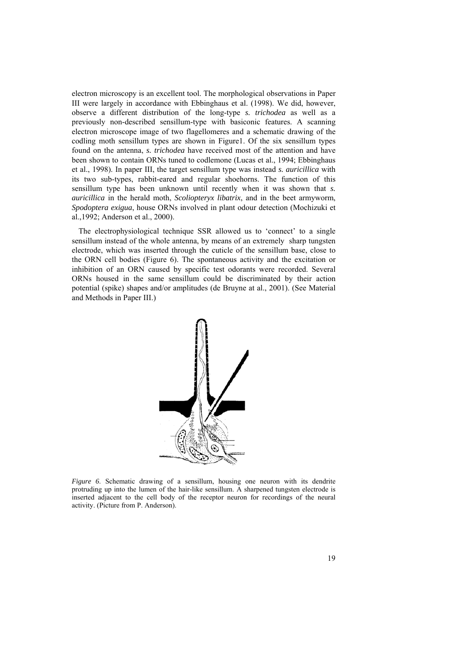electron microscopy is an excellent tool. The morphological observations in Paper III were largely in accordance with Ebbinghaus et al. (1998). We did, however, observe a different distribution of the long-type *s. trichodea* as well as a previously non-described sensillum-type with basiconic features. A scanning electron microscope image of two flagellomeres and a schematic drawing of the codling moth sensillum types are shown in Figure1. Of the six sensillum types found on the antenna, *s. trichodea* have received most of the attention and have been shown to contain ORNs tuned to codlemone (Lucas et al., 1994; Ebbinghaus et al., 1998). In paper III, the target sensillum type was instead *s. auricillica* with its two sub-types, rabbit-eared and regular shoehorns. The function of this sensillum type has been unknown until recently when it was shown that *s. auricillica* in the herald moth, *Scoliopteryx libatrix*, and in the beet armyworm, *Spodoptera exigua*, house ORNs involved in plant odour detection (Mochizuki et al.,1992; Anderson et al., 2000).

The electrophysiological technique SSR allowed us to 'connect' to a single sensillum instead of the whole antenna, by means of an extremely sharp tungsten electrode, which was inserted through the cuticle of the sensillum base, close to the ORN cell bodies (Figure 6). The spontaneous activity and the excitation or inhibition of an ORN caused by specific test odorants were recorded. Several ORNs housed in the same sensillum could be discriminated by their action potential (spike) shapes and/or amplitudes (de Bruyne at al., 2001). (See Material and Methods in Paper III.)



*Figure 6.* Schematic drawing of a sensillum, housing one neuron with its dendrite protruding up into the lumen of the hair-like sensillum. A sharpened tungsten electrode is inserted adjacent to the cell body of the receptor neuron for recordings of the neural activity. (Picture from P. Anderson).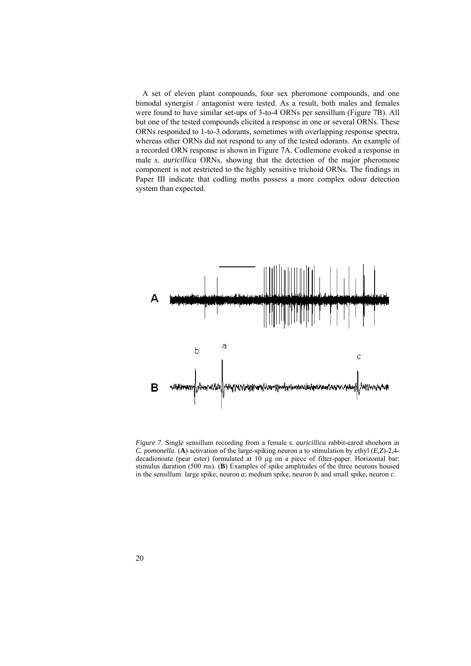A set of eleven plant compounds, four sex pheromone compounds, and one bimodal synergist / antagonist were tested. As a result, both males and females were found to have similar set-ups of 3-to-4 ORNs per sensillum (Figure 7B). All but one of the tested compounds elicited a response in one or several ORNs. These ORNs responded to 1-to-3 odorants, sometimes with overlapping response spectra, whereas other ORNs did not respond to any of the tested odorants. An example of a recorded ORN response is shown in Figure 7A. Codlemone evoked a response in male *s. auricillica* ORNs, showing that the detection of the major pheromone component is not restricted to the highly sensitive trichoid ORNs. The findings in Paper III indicate that codling moths possess a more complex odour detection system than expected.



*Figure 7*. Single sensillum recording from a female *s. auricillica* rabbit-eared shoehorn in *C. pomonella*. (**A**) activation of the large-spiking neuron a to stimulation by ethyl (*E,Z*)-2,4 decadienoate (pear ester) formulated at 10 µg on a piece of filter-paper. Horizontal bar: stimulus duration (500 ms). (**B**) Examples of spike amplitudes of the three neurons housed in the sensillum: large spike, neuron *a*; medium spike, neuron *b*, and small spike, neuron *c*.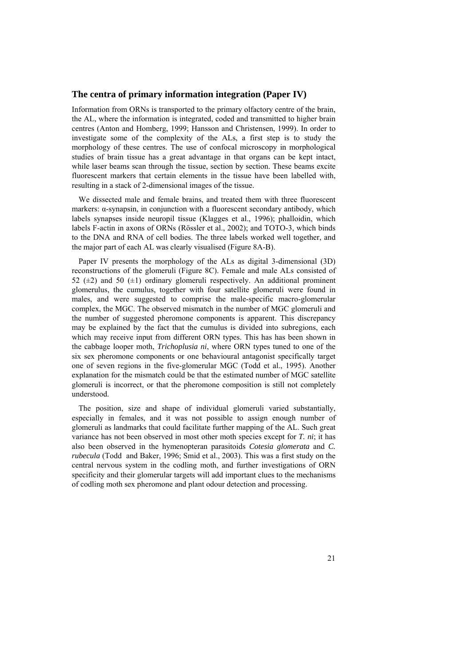#### **The centra of primary information integration (Paper IV)**

Information from ORNs is transported to the primary olfactory centre of the brain, the AL, where the information is integrated, coded and transmitted to higher brain centres (Anton and Homberg, 1999; Hansson and Christensen, 1999). In order to investigate some of the complexity of the ALs, a first step is to study the morphology of these centres. The use of confocal microscopy in morphological studies of brain tissue has a great advantage in that organs can be kept intact, while laser beams scan through the tissue, section by section. These beams excite fluorescent markers that certain elements in the tissue have been labelled with, resulting in a stack of 2-dimensional images of the tissue.

We dissected male and female brains, and treated them with three fluorescent markers:  $\alpha$ -synapsin, in conjunction with a fluorescent secondary antibody, which labels synapses inside neuropil tissue (Klagges et al., 1996); phalloidin, which labels F-actin in axons of ORNs (Rössler et al., 2002); and TOTO-3, which binds to the DNA and RNA of cell bodies. The three labels worked well together, and the major part of each AL was clearly visualised (Figure 8A-B).

Paper IV presents the morphology of the ALs as digital 3-dimensional (3D) reconstructions of the glomeruli (Figure 8C). Female and male ALs consisted of 52 ( $\pm$ 2) and 50 ( $\pm$ 1) ordinary glomeruli respectively. An additional prominent glomerulus, the cumulus, together with four satellite glomeruli were found in males, and were suggested to comprise the male-specific macro-glomerular complex, the MGC. The observed mismatch in the number of MGC glomeruli and the number of suggested pheromone components is apparent. This discrepancy may be explained by the fact that the cumulus is divided into subregions, each which may receive input from different ORN types. This has has been shown in the cabbage looper moth, *Trichoplusia ni*, where ORN types tuned to one of the six sex pheromone components or one behavioural antagonist specifically target one of seven regions in the five-glomerular MGC (Todd et al., 1995). Another explanation for the mismatch could be that the estimated number of MGC satellite glomeruli is incorrect, or that the pheromone composition is still not completely understood.

The position, size and shape of individual glomeruli varied substantially, especially in females, and it was not possible to assign enough number of glomeruli as landmarks that could facilitate further mapping of the AL. Such great variance has not been observed in most other moth species except for *T. ni*; it has also been observed in the hymenopteran parasitoids *Cotesia glomerata* and *C. rubecula* (Todd and Baker, 1996; Smid et al., 2003). This was a first study on the central nervous system in the codling moth, and further investigations of ORN specificity and their glomerular targets will add important clues to the mechanisms of codling moth sex pheromone and plant odour detection and processing.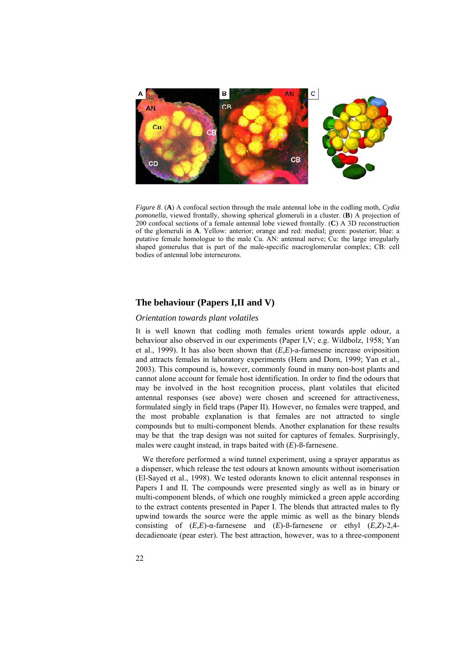

*Figure 8*. (**A**) A confocal section through the male antennal lobe in the codling moth, *Cydia pomonella*, viewed frontally, showing spherical glomeruli in a cluster. (**B**) A projection of 200 confocal sections of a female antennal lobe viewed frontally. (**C**) A 3D reconstruction of the glomeruli in **A**. Yellow: anterior; orange and red: medial; green: posterior; blue: a putative female homologue to the male Cu. AN: antennal nerve; Cu: the large irregularly shaped gomerulus that is part of the male-specific macroglomerular complex; CB: cell bodies of antennal lobe interneurons.

### **The behaviour (Papers I,II and V)**

#### *Orientation towards plant volatiles*

It is well known that codling moth females orient towards apple odour, a behaviour also observed in our experiments (Paper I,V; e.g. Wildbolz, 1958; Yan et al., 1999). It has also been shown that (*E,E*)-a-farnesene increase oviposition and attracts females in laboratory experiments (Hern and Dorn, 1999; Yan et al., 2003). This compound is, however, commonly found in many non-host plants and cannot alone account for female host identification. In order to find the odours that may be involved in the host recognition process, plant volatiles that elicited antennal responses (see above) were chosen and screened for attractiveness, formulated singly in field traps (Paper II). However, no females were trapped, and the most probable explanation is that females are not attracted to single compounds but to multi-component blends. Another explanation for these results may be that the trap design was not suited for captures of females. Surprisingly, males were caught instead, in traps baited with (*E*)-ß-farnesene.

We therefore performed a wind tunnel experiment, using a sprayer apparatus as a dispenser, which release the test odours at known amounts without isomerisation (El-Sayed et al., 1998). We tested odorants known to elicit antennal responses in Papers I and II. The compounds were presented singly as well as in binary or multi-component blends, of which one roughly mimicked a green apple according to the extract contents presented in Paper I. The blends that attracted males to fly upwind towards the source were the apple mimic as well as the binary blends consisting of (*E,E*)-α-farnesene and (*E*)-ß-farnesene or ethyl (*E,Z*)-2,4 decadienoate (pear ester). The best attraction, however, was to a three-component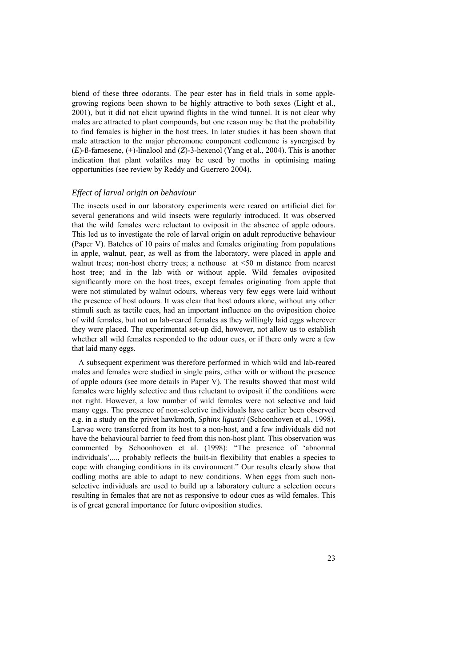blend of these three odorants. The pear ester has in field trials in some applegrowing regions been shown to be highly attractive to both sexes (Light et al., 2001), but it did not elicit upwind flights in the wind tunnel. It is not clear why males are attracted to plant compounds, but one reason may be that the probability to find females is higher in the host trees. In later studies it has been shown that male attraction to the major pheromone component codlemone is synergised by (*E*)-ß-farnesene, (±)-linalool and (*Z*)-3-hexenol (Yang et al., 2004). This is another indication that plant volatiles may be used by moths in optimising mating opportunities (see review by Reddy and Guerrero 2004).

#### *Effect of larval origin on behaviour*

The insects used in our laboratory experiments were reared on artificial diet for several generations and wild insects were regularly introduced. It was observed that the wild females were reluctant to oviposit in the absence of apple odours. This led us to investigate the role of larval origin on adult reproductive behaviour (Paper V). Batches of 10 pairs of males and females originating from populations in apple, walnut, pear, as well as from the laboratory, were placed in apple and walnut trees; non-host cherry trees; a nethouse at <50 m distance from nearest host tree; and in the lab with or without apple. Wild females oviposited significantly more on the host trees, except females originating from apple that were not stimulated by walnut odours, whereas very few eggs were laid without the presence of host odours. It was clear that host odours alone, without any other stimuli such as tactile cues, had an important influence on the oviposition choice of wild females, but not on lab-reared females as they willingly laid eggs wherever they were placed. The experimental set-up did, however, not allow us to establish whether all wild females responded to the odour cues, or if there only were a few that laid many eggs.

A subsequent experiment was therefore performed in which wild and lab-reared males and females were studied in single pairs, either with or without the presence of apple odours (see more details in Paper V). The results showed that most wild females were highly selective and thus reluctant to oviposit if the conditions were not right. However, a low number of wild females were not selective and laid many eggs. The presence of non-selective individuals have earlier been observed e.g. in a study on the privet hawkmoth, *Sphinx ligustri* (Schoonhoven et al., 1998). Larvae were transferred from its host to a non-host, and a few individuals did not have the behavioural barrier to feed from this non-host plant. This observation was commented by Schoonhoven et al. (1998): "The presence of 'abnormal individuals',..., probably reflects the built-in flexibility that enables a species to cope with changing conditions in its environment." Our results clearly show that codling moths are able to adapt to new conditions. When eggs from such nonselective individuals are used to build up a laboratory culture a selection occurs resulting in females that are not as responsive to odour cues as wild females. This is of great general importance for future oviposition studies.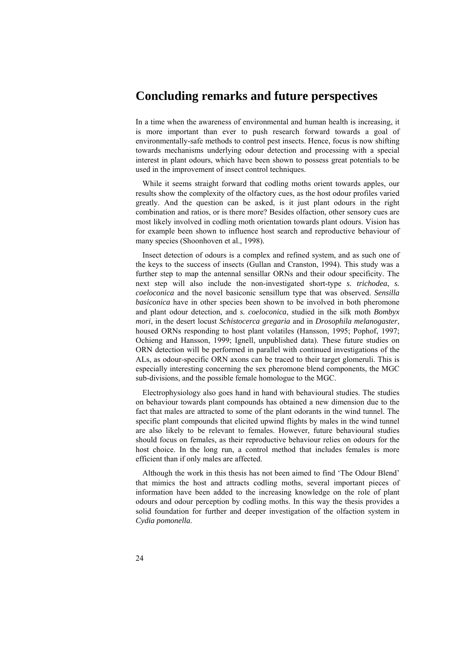# **Concluding remarks and future perspectives**

In a time when the awareness of environmental and human health is increasing, it is more important than ever to push research forward towards a goal of environmentally-safe methods to control pest insects. Hence, focus is now shifting towards mechanisms underlying odour detection and processing with a special interest in plant odours, which have been shown to possess great potentials to be used in the improvement of insect control techniques.

While it seems straight forward that codling moths orient towards apples, our results show the complexity of the olfactory cues, as the host odour profiles varied greatly. And the question can be asked, is it just plant odours in the right combination and ratios, or is there more? Besides olfaction, other sensory cues are most likely involved in codling moth orientation towards plant odours. Vision has for example been shown to influence host search and reproductive behaviour of many species (Shoonhoven et al., 1998).

Insect detection of odours is a complex and refined system, and as such one of the keys to the success of insects (Gullan and Cranston, 1994). This study was a further step to map the antennal sensillar ORNs and their odour specificity. The next step will also include the non-investigated short-type *s. trichodea*, *s. coeloconica* and the novel basiconic sensillum type that was observed. *Sensilla basiconica* have in other species been shown to be involved in both pheromone and plant odour detection, and *s. coeloconica*, studied in the silk moth *Bombyx mori*, in the desert locust *Schistocerca gregaria* and in *Drosophila melanogaster*, housed ORNs responding to host plant volatiles (Hansson, 1995; Pophof, 1997; Ochieng and Hansson, 1999; Ignell, unpublished data). These future studies on ORN detection will be performed in parallel with continued investigations of the ALs, as odour-specific ORN axons can be traced to their target glomeruli. This is especially interesting concerning the sex pheromone blend components, the MGC sub-divisions, and the possible female homologue to the MGC.

Electrophysiology also goes hand in hand with behavioural studies. The studies on behaviour towards plant compounds has obtained a new dimension due to the fact that males are attracted to some of the plant odorants in the wind tunnel. The specific plant compounds that elicited upwind flights by males in the wind tunnel are also likely to be relevant to females. However, future behavioural studies should focus on females, as their reproductive behaviour relies on odours for the host choice. In the long run, a control method that includes females is more efficient than if only males are affected.

Although the work in this thesis has not been aimed to find 'The Odour Blend' that mimics the host and attracts codling moths, several important pieces of information have been added to the increasing knowledge on the role of plant odours and odour perception by codling moths. In this way the thesis provides a solid foundation for further and deeper investigation of the olfaction system in *Cydia pomonella*.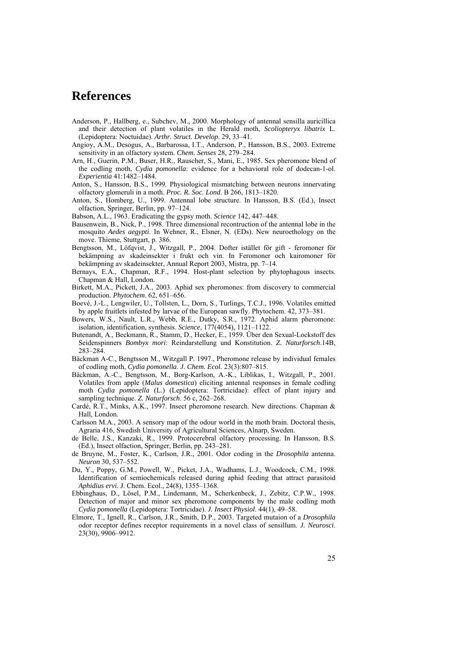# **References**

- Anderson, P., Hallberg, e., Subchev, M., 2000. Morphology of antennal sensilla auricillica and their detection of plant volatiles in the Herald moth, *Scoliopteryx libatrix* L. (Lepidoptera: Noctuidae). *Arthr. Struct. Develop*. 29, 33–41.
- Angioy, A.M., Desogus, A., Barbarossa, I.T., Anderson, P., Hansson, B.S., 2003. Extreme sensitivity in an olfactory system. *Chem. Senses* 28, 279–284.
- Arn, H., Guerin, P.M., Buser, H.R., Rauscher, S., Mani, E., 1985. Sex pheromone blend of the codling moth, *Cydia pomonella*: evidence for a behavioral role of dodecan-1-ol. *Experientia* 41:1482–1484.
- Anton, S., Hansson, B.S., 1999. Physiological mismatching between neurons innervating olfactory glomeruli in a moth. *Proc. R. Soc. Lond*. B 266, 1813–1820.
- Anton, S., Homberg, U., 1999. Antennal lobe structure. In Hansson, B.S. (Ed.), Insect olfaction, Springer, Berlin, pp. 97–124.

Babson, A.L., 1963. Eradicating the gypsy moth. *Science* 142, 447–448.

- Bausenwein, B., Nick, P., 1998. Three dimensional recontruction of the antennal lobe in the mosquito *Aedes aegypti*. In Wehner, R., Elsner, N. (EDs). New neuroethology on the move. Thieme, Stuttgart, p. 386.
- Bengtsson, M., Löfqvist, J., Witzgall, P., 2004. Dofter istället för gift feromoner för bekämpning av skadeinsekter i frukt och vin. In Feromoner och kairomoner för bekämpning av skadeinsekter, Annual Report 2003, Mistra, pp. 7–14.
- Bernays, E.A., Chapman, R.F., 1994. Host-plant selection by phytophagous insects. Chapman & Hall, London.
- Birkett, M.A., Pickett, J.A., 2003. Aphid sex pheromones: from discovery to commercial production. *Phytochem*. 62, 651–656.
- Boevé, J.-L., Lengwiler, U., Tollsten, L., Dorn, S., Turlings, T.C.J., 1996. Volatiles emitted by apple fruitlets infested by larvae of the European sawfly. Phytochem. 42, 373–381.
- Bowers, W.S., Nault, L.R., Webb, R.E., Dutky, S.R., 1972. Aphid alarm pheromone: isolation, identification, synthesis. *Science*, 177(4054), 1121–1122.
- Butenandt, A., Beckmann, R., Stamm, D., Hecker, E., 1959. Ûber den Sexual-Lockstoff des Seidenspinners *Bombyx mori*: Reindarstellung und Konstitution. *Z. Naturforsch*.14B, 283–284.
- Bäckman A-C., Bengtsson M., Witzgall P. 1997., Pheromone release by individual females of codling moth, *Cydia pomonella*. *J. Chem. Ecol*. 23(3):807–815.
- Bäckman, A.-C., Bengtsson, M., Borg-Karlson, A.-K., Liblikas, I., Witzgall, P., 2001. Volatiles from apple (*Malus domestica*) eliciting antennal responses in female codling moth *Cydia pomonella* (L.) (Lepidoptera: Tortricidae): effect of plant injury and sampling technique. *Z. Naturforsch*. 56 c, 262–268.
- Cardé, R.T., Minks, A.K., 1997. Insect pheromone research. New directions. Chapman & Hall, London.
- Carlsson M.A., 2003. A sensory map of the odour world in the moth brain. Doctoral thesis, Agraria 416, Swedish University of Agricultural Sciences, Alnarp, Sweden.
- de Belle, J.S., Kanzaki, R., 1999. Protocerebral olfactory processing. In Hansson, B.S. (Ed.), Insect olfaction, Springer, Berlin, pp. 243–281.
- de Bruyne, M., Foster, K., Carlson, J.R., 2001. Odor coding in the *Drosophila* antenna. *Neuron* 30, 537–552.
- Du, Y., Poppy, G.M., Powell, W., Picket, J.A., Wadhams, L.J., Woodcock, C.M., 1998. Identification of semiochemicals released during aphid feeding that attract parasitoid *Aphidius ervi*. J. Chem. Ecol., 24(8), 1355–1368.
- Ebbinghaus, D., Lösel, P.M., Lindemann, M., Scherkenbeck, J., Zebitz, C.P.W., 1998. Detection of major and minor sex pheromone components by the male codling moth *Cydia pomonella* (Lepidoptera: Tortricidae). *J. Insect Physiol*. 44(1), 49–58.
- Elmore, T., Ignell, R., Carlson, J.R., Smith, D.P., 2003. Targeted mutaion of a *Drosophila* odor receptor defines receptor requirements in a novel class of sensillum. *J. Neurosci*. 23(30), 9906–9912.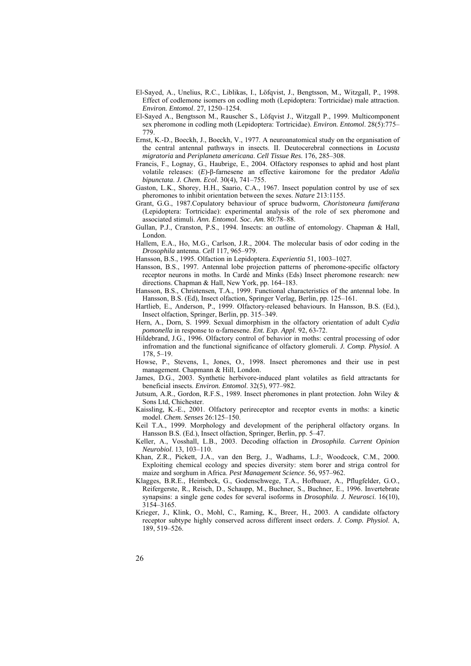- El-Sayed, A., Unelius, R.C., Liblikas, I., Löfqvist, J., Bengtsson, M., Witzgall, P., 1998. Effect of codlemone isomers on codling moth (Lepidoptera: Tortricidae) male attraction. *Environ. Entomol*. 27, 1250–1254.
- El-Sayed A., Bengtsson M., Rauscher S., Löfqvist J., Witzgall P., 1999. Multicomponent sex pheromone in codling moth (Lepidoptera: Tortricidae). *Environ. Entomol*. 28(5):775– 779.
- Ernst, K.-D., Boeckh, J., Boeckh, V., 1977. A neuroanatomical study on the organisation of the central antennal pathways in insects. II. Deutocerebral connections in *Locusta migratoria* and *Periplaneta americana*. *Cell Tissue Res*. 176, 285–308.
- Francis, F., Lognay, G., Haubrige, E., 2004. Olfactory responses to aphid and host plant volatile releases: (*E*)-β-farnesene an effective kairomone for the predator *Adalia bipunctata*. *J. Chem. Ecol*. 30(4), 741–755.
- Gaston, L.K., Shorey, H.H., Saario, C.A., 1967. Insect population control by use of sex pheromones to inhibit orientation between the sexes. *Nature* 213:1155.
- Grant, G.G., 1987.Copulatory behaviour of spruce budworm, *Choristoneura fumiferana* (Lepidoptera: Tortricidae): experimental analysis of the role of sex pheromone and associated stimuli. *Ann. Entomol. Soc. Am*. 80:78–88.
- Gullan, P.J., Cranston, P.S., 1994. Insects: an outline of entomology. Chapman & Hall, London.
- Hallem, E.A., Ho, M.G., Carlson, J.R., 2004. The molecular basis of odor coding in the *Drosophila* antenna. *Cell* 117, 965–979.
- Hansson, B.S., 1995. Olfaction in Lepidoptera. *Experientia* 51, 1003–1027.
- Hansson, B.S., 1997. Antennal lobe projection patterns of pheromone-specific olfactory receptor neurons in moths. In Cardé and Minks (Eds) Insect pheromone research: new directions. Chapman & Hall, New York, pp. 164–183.
- Hansson, B.S., Christensen, T.A., 1999. Functional characteristics of the antennal lobe. In Hansson, B.S. (Ed), Insect olfaction, Springer Verlag, Berlin, pp. 125–161.
- Hartlieb, E., Anderson, P., 1999. Olfactory-released behaviours. In Hansson, B.S. (Ed.), Insect olfaction, Springer, Berlin, pp. 315–349.
- Hern, A., Dorn, S. 1999. Sexual dimorphism in the olfactory orientation of adult C*ydia pomonella* in response to α-farnesene. *Ent. Exp. Appl*. 92, 63-72.
- Hildebrand, J.G., 1996. Olfactory control of behavior in moths: central processing of odor infromation and the functional significance of olfactory glomeruli. *J. Comp. Physiol*. A 178, 5–19.
- Howse, P., Stevens, I., Jones, O., 1998. Insect pheromones and their use in pest management. Chapmann & Hill, London.
- James, D.G., 2003. Synthetic herbivore-induced plant volatiles as field attractants for beneficial insects. *Environ. Entomol*. 32(5), 977–982.
- Jutsum, A.R., Gordon, R.F.S., 1989. Insect pheromones in plant protection. John Wiley & Sons Ltd, Chichester.
- Kaissling, K.-E., 2001. Olfactory perireceptor and receptor events in moths: a kinetic model. *Chem. Senses* 26:125–150.
- Keil T.A., 1999. Morphology and development of the peripheral olfactory organs. In Hansson B.S. (Ed.), Insect olfaction, Springer, Berlin, pp. 5–47.
- Keller, A., Vosshall, L.B., 2003. Decoding olfaction in *Drosophila*. *Current Opinion Neurobiol*. 13, 103–110.
- Khan, Z.R., Pickett, J.A., van den Berg, J., Wadhams, L.J:, Woodcock, C.M., 2000. Exploiting chemical ecology and species diversity: stem borer and striga control for maize and sorghum in Africa. *Pest Management Science*. 56, 957–962.
- Klagges, B.R.E., Heimbeck, G., Godenschwege, T.A., Hofbauer, A., Pflugfelder, G.O., Reifergerste, R., Reisch, D., Schaupp, M., Buchner, S., Buchner, E., 1996. Invertebrate synapsins: a single gene codes for several isoforms in *Drosophila*. *J. Neurosci*. 16(10), 3154–3165.
- Krieger, J., Klink, O., Mohl, C., Raming, K., Breer, H., 2003. A candidate olfactory receptor subtype highly conserved across different insect orders. *J. Comp. Physiol*. A, 189, 519–526.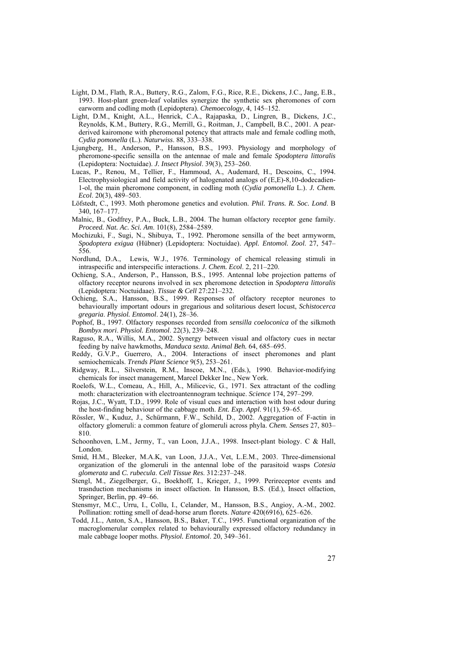- Light, D.M., Flath, R.A., Buttery, R.G., Zalom, F.G., Rice, R.E., Dickens, J.C., Jang, E.B., 1993. Host-plant green-leaf volatiles synergize the synthetic sex pheromones of corn earworm and codling moth (Lepidoptera). *Chemoecology*, 4, 145–152.
- Light, D.M., Knight, A.L., Henrick, C.A., Rajapaska, D., Lingren, B., Dickens, J.C., Reynolds, K.M., Buttery, R.G., Merrill, G., Roitman, J., Campbell, B.C., 2001. A pearderived kairomone with pheromonal potency that attracts male and female codling moth, *Cydia pomonella* (L.). *Naturwiss*. 88, 333–338.
- Ljungberg, H., Anderson, P., Hansson, B.S., 1993. Physiology and morphology of pheromone-specific sensilla on the antennae of male and female *Spodoptera littoralis* (Lepidoptera: Noctuidae). *J. Insect Physiol*. 39(3), 253–260.
- Lucas, P., Renou, M., Tellier, F., Hammoud, A., Audemard, H., Descoins, C., 1994. Electrophysiological and field activity of halogenated analogs of (E,E)-8,10-dodecadien-1-ol, the main pheromone component, in codling moth (*Cydia pomonella* L.). *J. Chem. Ecol.* 20(3), 489–503.
- Löfstedt, C., 1993. Moth pheromone genetics and evolution. *Phil. Trans. R. Soc. Lond*. B 340, 167–177.
- Malnic, B., Godfrey, P.A., Buck, L.B., 2004. The human olfactory receptor gene family. *Proceed. Nat. Ac. Sci. Am*. 101(8), 2584–2589.
- Mochizuki, F., Sugi, N., Shibuya, T., 1992. Pheromone sensilla of the beet armyworm, *Spodoptera exigua* (Hübner) (Lepidoptera: Noctuidae). *Appl. Entomol. Zool*. 27, 547– 556.
- Nordlund, D.A., Lewis, W.J., 1976. Terminology of chemical releasing stimuli in intraspecific and interspecific interactions. *J. Chem. Ecol*. 2, 211–220.
- Ochieng, S.A., Anderson, P., Hansson, B.S., 1995. Antennal lobe projection patterns of olfactory receptor neurons involved in sex pheromone detection in *Spodoptera littoralis* (Lepidoptera: Noctuidaae). *Tissue & Cell* 27:221–232.
- Ochieng, S.A., Hansson, B.S., 1999. Responses of olfactory receptor neurones to behaviourally important odours in gregarious and solitarious desert locust, *Schistocerca gregaria*. *Physiol. Entomol*. 24(1), 28–36.
- Pophof, B., 1997. Olfactory responses recorded from *sensilla coeloconica* of the silkmoth *Bombyx mori*. *Physiol. Entomol*. 22(3), 239–248.
- Raguso, R.A., Willis, M.A., 2002. Synergy between visual and olfactory cues in nectar feeding by naîve hawkmoths, *Manduca sexta. Animal Beh.* 64, 685–695.
- Reddy, G.V.P., Guerrero, A., 2004. Interactions of insect pheromones and plant semiochemicals. *Trends Plant Science* 9(5), 253–261.
- Ridgway, R.L., Silverstein, R.M., Inscoe, M.N., (Eds.), 1990. Behavior-modifying chemicals for insect management, Marcel Dekker Inc., New York.
- Roelofs, W.L., Comeau, A., Hill, A., Milicevic, G., 1971. Sex attractant of the codling moth: characterization with electroantennogram technique. *Science* 174, 297–299.
- Rojas, J.C., Wyatt, T.D., 1999. Role of visual cues and interaction with host odour during the host-finding behaviour of the cabbage moth. *Ent. Exp. Appl*. 91(1), 59–65.
- Rössler, W., Kuduz, J., Schürmann, F.W., Schild, D., 2002. Aggregation of F-actin in olfactory glomeruli: a common feature of glomeruli across phyla. *Chem. Senses* 27, 803– 810.
- Schoonhoven, L.M., Jermy, T., van Loon, J.J.A., 1998. Insect-plant biology. C & Hall, London.
- Smid, H.M., Bleeker, M.A.K, van Loon, J.J.A., Vet, L.E.M., 2003. Three-dimensional organization of the glomeruli in the antennal lobe of the parasitoid wasps *Cotesia glomerata* and *C. rubecula*. *Cell Tissue Res*. 312:237–248.
- Stengl, M., Ziegelberger, G., Boekhoff, I., Krieger, J., 1999. Perireceptor events and trasnduction mechanisms in insect olfaction. In Hansson, B.S. (Ed.), Insect olfaction, Springer, Berlin, pp. 49–66.
- Stensmyr, M.C., Urru, I., Collu, I., Celander, M., Hansson, B.S., Angioy, A.-M., 2002. Pollination: rotting smell of dead-horse arum florets. *Nature* 420(6916), 625–626.
- Todd, J.L., Anton, S.A., Hansson, B.S., Baker, T.C., 1995. Functional organization of the macroglomerular complex related to behaviourally expressed olfactory redundancy in male cabbage looper moths. *Physiol. Entomol*. 20, 349–361.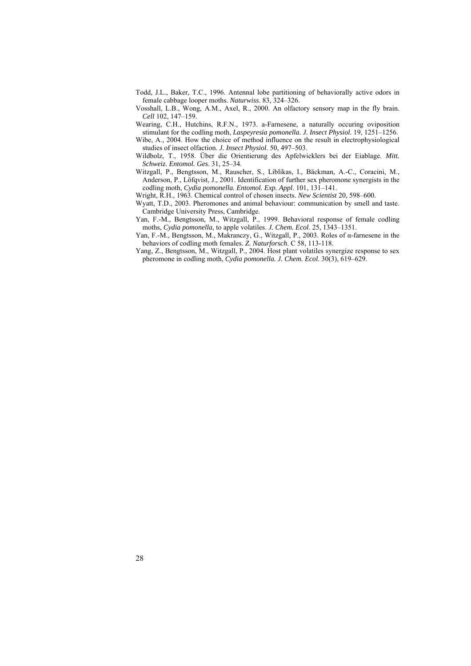- Todd, J.L., Baker, T.C., 1996. Antennal lobe partitioning of behaviorally active odors in female cabbage looper moths. *Naturwiss*. 83, 324–326.
- Vosshall, L.B., Wong, A.M., Axel, R., 2000. An olfactory sensory map in the fly brain. *Cell* 102, 147–159.
- Wearing, C.H., Hutchins, R.F.N., 1973. a-Farnesene, a naturally occuring oviposition stimulant for the codling moth, *Laspeyresia pomonella. J. Insect Physiol*. 19, 1251–1256.
- Wibe, A., 2004. How the choice of method influence on the result in electrophysiological studies of insect olfaction. *J. Insect Physiol*. 50, 497–503.
- Wildbolz, T., 1958. Über die Orientierung des Apfelwicklers bei der Eiablage. *Mitt. Schweiz. Entomol. Ges*. 31, 25–34.
- Witzgall, P., Bengtsson, M., Rauscher, S., Liblikas, I., Bäckman, A.-C., Coracini, M., Anderson, P., Löfqvist, J., 2001. Identification of further sex pheromone synergists in the codling moth, *Cydia pomonella. Entomol. Exp. Appl*. 101, 131–141.

Wright, R.H., 1963. Chemical control of chosen insects. *New Scientist* 20, 598–600.

- Wyatt, T.D., 2003. Pheromones and animal behaviour: communication by smell and taste. Cambridge University Press, Cambridge.
- Yan, F.-M., Bengtsson, M., Witzgall, P., 1999. Behavioral response of female codling moths, *Cydia pomonella*, to apple volatiles. *J. Chem. Ecol*. 25, 1343–1351.
- Yan, F.-M., Bengtsson, M., Makranczy, G., Witzgall, P., 2003. Roles of α-farnesene in the behaviors of codling moth females. *Z. Naturforsch*. C 58, 113-118.
- Yang, Z., Bengtsson, M., Witzgall, P., 2004. Host plant volatiles synergize response to sex pheromone in codling moth, *Cydia pomonella. J. Chem. Ecol*. 30(3), 619–629.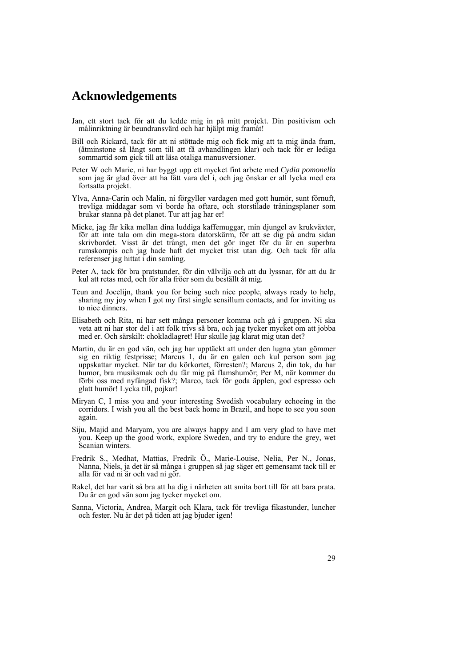# **Acknowledgements**

- Jan, ett stort tack för att du ledde mig in på mitt projekt. Din positivism och målinriktning är beundransvärd och har hjälpt mig framåt!
- Bill och Rickard, tack för att ni stöttade mig och fick mig att ta mig ända fram, (åtminstone så långt som till att få avhandlingen klar) och tack för er lediga sommartid som gick till att läsa otaliga manusversioner.
- Peter W och Marie, ni har byggt upp ett mycket fint arbete med *Cydia pomonella* som jag är glad över att ha fått vara del i, och jag önskar er all lycka med era fortsatta projekt.
- Ylva, Anna-Carin och Malin, ni förgyller vardagen med gott humör, sunt förnuft, trevliga middagar som vi borde ha oftare, och storstilade träningsplaner som brukar stanna på det planet. Tur att jag har er!
- Micke, jag får kika mellan dina luddiga kaffemuggar, min djungel av krukväxter, för att inte tala om din mega-stora datorskärm, för att se dig på andra sidan skrivbordet. Visst är det trångt, men det gör inget för du är en superbra rumskompis och jag hade haft det mycket trist utan dig. Och tack för alla referenser jag hittat i din samling.
- Peter A, tack för bra pratstunder, för din välvilja och att du lyssnar, för att du är kul att retas med, och för alla fröer som du beställt åt mig.
- Teun and Jocelijn, thank you for being such nice people, always ready to help, sharing my joy when I got my first single sensillum contacts, and for inviting us to nice dinners.
- Elisabeth och Rita, ni har sett många personer komma och gå i gruppen. Ni ska veta att ni har stor del i att folk trivs så bra, och jag tycker mycket om att jobba med er. Och särskilt: chokladlagret! Hur skulle jag klarat mig utan det?
- Martin, du är en god vän, och jag har upptäckt att under den lugna ytan gömmer sig en riktig festprisse; Marcus 1, du är en galen och kul person som jag uppskattar mycket. När tar du körkortet, förresten?; Marcus 2, din tok, du har humor, bra musiksmak och du får mig på flamshumör; Per M, när kommer du förbi oss med nyfångad fisk?; Marco, tack för goda äpplen, god espresso och glatt humör! Lycka till, pojkar!
- Miryan C, I miss you and your interesting Swedish vocabulary echoeing in the corridors. I wish you all the best back home in Brazil, and hope to see you soon again.
- Siju, Majid and Maryam, you are always happy and I am very glad to have met you. Keep up the good work, explore Sweden, and try to endure the grey, wet Scanian winters.
- Fredrik S., Medhat, Mattias, Fredrik Ö., Marie-Louise, Nelia, Per N., Jonas, Nanna, Niels, ja det är så många i gruppen så jag säger ett gemensamt tack till er alla för vad ni är och vad ni gör.
- Rakel, det har varit så bra att ha dig i närheten att smita bort till för att bara prata. Du är en god vän som jag tycker mycket om.
- Sanna, Victoria, Andrea, Margit och Klara, tack för trevliga fikastunder, luncher och fester. Nu är det på tiden att jag bjuder igen!